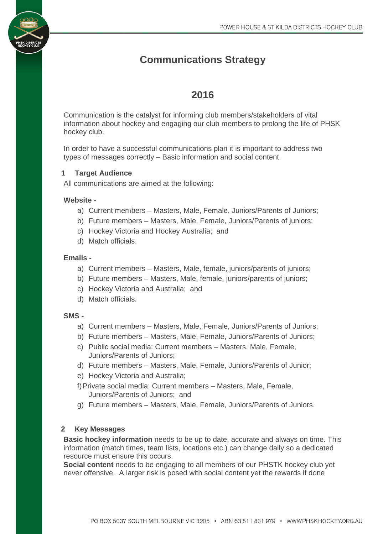# **Communications Strategy**

## **2016**

Communication is the catalyst for informing club members/stakeholders of vital information about hockey and engaging our club members to prolong the life of PHSK hockey club.

In order to have a successful communications plan it is important to address two types of messages correctly – Basic information and social content.

## **1 Target Audience**

All communications are aimed at the following:

#### **Website -**

- a) Current members Masters, Male, Female, Juniors/Parents of Juniors;
- b) Future members Masters, Male, Female, Juniors/Parents of juniors;
- c) Hockey Victoria and Hockey Australia; and
- d) Match officials.

## **Emails -**

- a) Current members Masters, Male, female, juniors/parents of juniors;
- b) Future members Masters, Male, female, juniors/parents of juniors;
- c) Hockey Victoria and Australia; and
- d) Match officials.

#### **SMS -**

- a) Current members Masters, Male, Female, Juniors/Parents of Juniors;
- b) Future members Masters, Male, Female, Juniors/Parents of Juniors;
- c) Public social media: Current members Masters, Male, Female, Juniors/Parents of Juniors;
- d) Future members Masters, Male, Female, Juniors/Parents of Junior;
- e) Hockey Victoria and Australia;
- f)Private social media: Current members Masters, Male, Female, Juniors/Parents of Juniors; and
- g) Future members Masters, Male, Female, Juniors/Parents of Juniors.

## **2 Key Messages**

**Basic hockey information** needs to be up to date, accurate and always on time. This information (match times, team lists, locations etc.) can change daily so a dedicated resource must ensure this occurs.

**Social content** needs to be engaging to all members of our PHSTK hockey club yet never offensive. A larger risk is posed with social content yet the rewards if done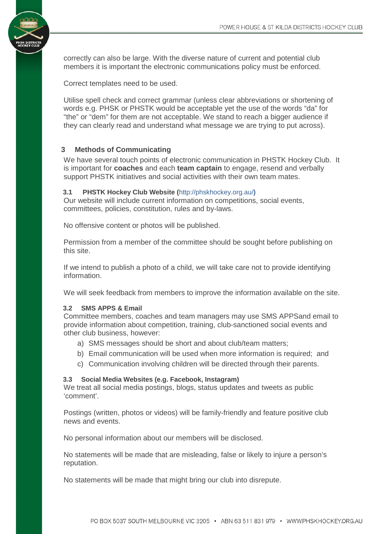

correctly can also be large. With the diverse nature of current and potential club members it is important the electronic communications policy must be enforced.

Correct templates need to be used.

Utilise spell check and correct grammar (unless clear abbreviations or shortening of words e.g. PHSK or PHSTK would be acceptable yet the use of the words "da" for "the" or "dem" for them are not acceptable. We stand to reach a bigger audience if they can clearly read and understand what message we are trying to put across).

## **3 Methods of Communicating**

We have several touch points of electronic communication in PHSTK Hockey Club. It is important for **coaches** and each **team captain** to engage, resend and verbally support PHSTK initiatives and social activities with their own team mates.

#### **3.1 PHSTK Hockey Club Website (**http://phskhockey.org.au/**)**

Our website will include current information on competitions, social events, committees, policies, constitution, rules and by-laws.

No offensive content or photos will be published.

Permission from a member of the committee should be sought before publishing on this site.

If we intend to publish a photo of a child, we will take care not to provide identifying information.

We will seek feedback from members to improve the information available on the site.

#### **3.2 SMS APPS & Email**

Committee members, coaches and team managers may use SMS APPSand email to provide information about competition, training, club-sanctioned social events and other club business, however:

- a) SMS messages should be short and about club/team matters;
- b) Email communication will be used when more information is required; and
- c) Communication involving children will be directed through their parents.

#### **3.3 Social Media Websites (e.g. Facebook, Instagram)**

We treat all social media postings, blogs, status updates and tweets as public 'comment'.

Postings (written, photos or videos) will be family-friendly and feature positive club news and events.

No personal information about our members will be disclosed.

No statements will be made that are misleading, false or likely to injure a person's reputation.

No statements will be made that might bring our club into disrepute.